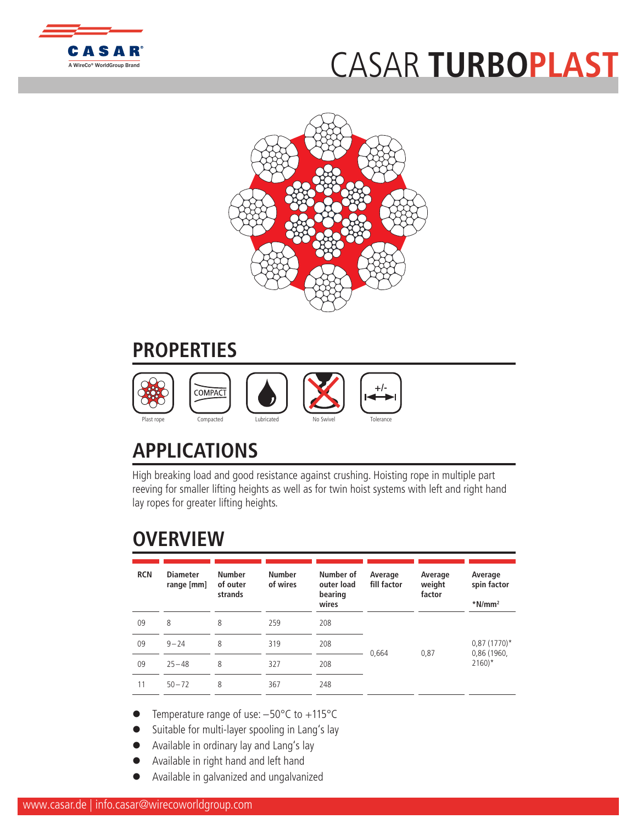

## CASAR **TU[RBOPLAST](http://www.WireCoWorldGroup.com)**



## **PROPERTIES**



## **APPLICATIONS**

High breaking load and good resistance against crushing. Hoisting rope in multiple part reeving for smaller lifting heights as well as for twin hoist systems with left and right hand lay ropes for greater lifting heights.

## **OVERVIEW**

| <b>RCN</b> | <b>Diameter</b><br>range [mm] | <b>Number</b><br>of outer<br>strands | <b>Number</b><br>of wires | Number of<br>outer load<br>bearing<br>wires | Average<br>fill factor | Average<br>weight<br>factor | Average<br>spin factor<br>$*$ N/mm <sup>2</sup> |  |
|------------|-------------------------------|--------------------------------------|---------------------------|---------------------------------------------|------------------------|-----------------------------|-------------------------------------------------|--|
| 09         | 8                             | 8                                    | 259                       | 208                                         |                        |                             |                                                 |  |
| 09         | $9 - 24$                      | 8                                    | 319                       | 208                                         | 0,664                  | 0,87                        | $0.87(1770)$ *<br>0,86 (1960,                   |  |
| 09         | $25 - 48$                     | 8                                    | 327                       | 208                                         |                        |                             | $2160$ <sup>*</sup>                             |  |
| 11         | $50 - 72$                     | 8                                    | 367                       | 248                                         |                        |                             |                                                 |  |

- Temperature range of use:  $-50^{\circ}$ C to  $+115^{\circ}$ C
- Suitable for multi-layer spooling in Lang's lay
- Available in ordinary lay and Lang's lay
- Available in right hand and left hand
- l Available in galvanized and ungalvanized